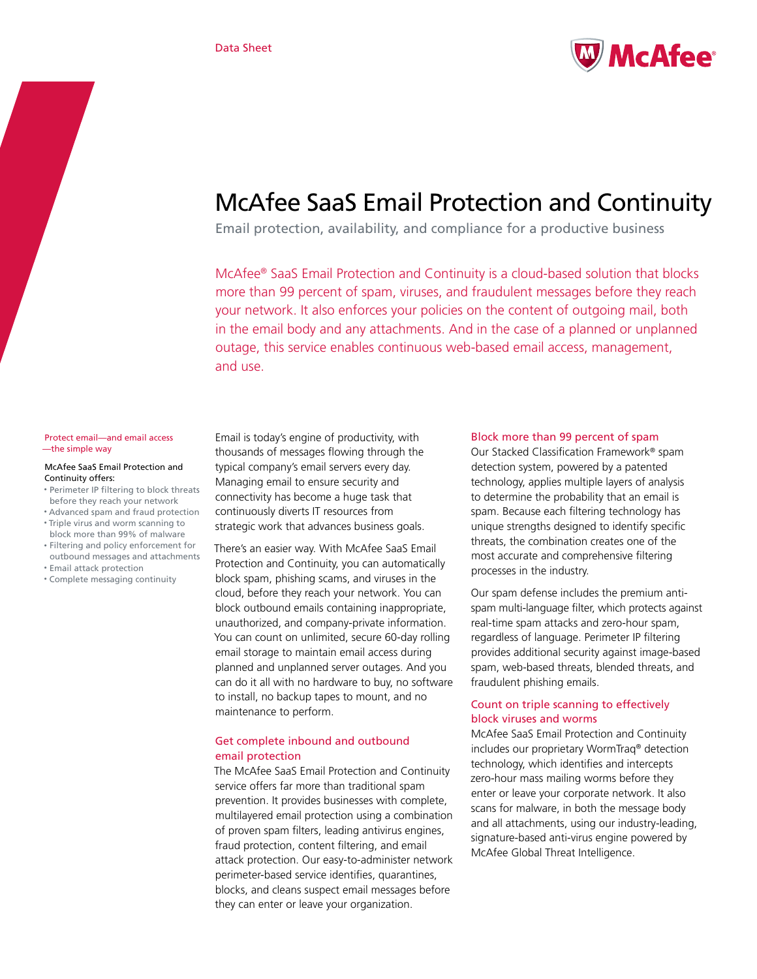

# McAfee SaaS Email Protection and Continuity

Email protection, availability, and compliance for a productive business

McAfee® SaaS Email Protection and Continuity is a cloud-based solution that blocks more than 99 percent of spam, viruses, and fraudulent messages before they reach your network. It also enforces your policies on the content of outgoing mail, both in the email body and any attachments. And in the case of a planned or unplanned outage, this service enables continuous web-based email access, management, and use.

#### Protect email—and email access —the simple way

#### McAfee SaaS Email Protection and Continuity offers:

- • Perimeter IP filtering to block threats before they reach your network
- • Advanced spam and fraud protection • Triple virus and worm scanning to
- block more than 99% of malware • Filtering and policy enforcement for
- outbound messages and attachments • Email attack protection
- • Complete messaging continuity

Email is today's engine of productivity, with thousands of messages flowing through the typical company's email servers every day. Managing email to ensure security and connectivity has become a huge task that continuously diverts IT resources from strategic work that advances business goals.

There's an easier way. With McAfee SaaS Email Protection and Continuity, you can automatically block spam, phishing scams, and viruses in the cloud, before they reach your network. You can block outbound emails containing inappropriate, unauthorized, and company-private information. You can count on unlimited, secure 60-day rolling email storage to maintain email access during planned and unplanned server outages. And you can do it all with no hardware to buy, no software to install, no backup tapes to mount, and no maintenance to perform.

# Get complete inbound and outbound email protection

The McAfee SaaS Email Protection and Continuity service offers far more than traditional spam prevention. It provides businesses with complete, multilayered email protection using a combination of proven spam filters, leading antivirus engines, fraud protection, content filtering, and email attack protection. Our easy-to-administer network perimeter-based service identifies, quarantines, blocks, and cleans suspect email messages before they can enter or leave your organization.

## Block more than 99 percent of spam

Our Stacked Classification Framework® spam detection system, powered by a patented technology, applies multiple layers of analysis to determine the probability that an email is spam. Because each filtering technology has unique strengths designed to identify specific threats, the combination creates one of the most accurate and comprehensive filtering processes in the industry.

Our spam defense includes the premium antispam multi-language filter, which protects against real-time spam attacks and zero-hour spam, regardless of language. Perimeter IP filtering provides additional security against image-based spam, web-based threats, blended threats, and fraudulent phishing emails.

# Count on triple scanning to effectively block viruses and worms

McAfee SaaS Email Protection and Continuity includes our proprietary WormTraq® detection technology, which identifies and intercepts zero-hour mass mailing worms before they enter or leave your corporate network. It also scans for malware, in both the message body and all attachments, using our industry-leading, signature-based anti-virus engine powered by McAfee Global Threat Intelligence.